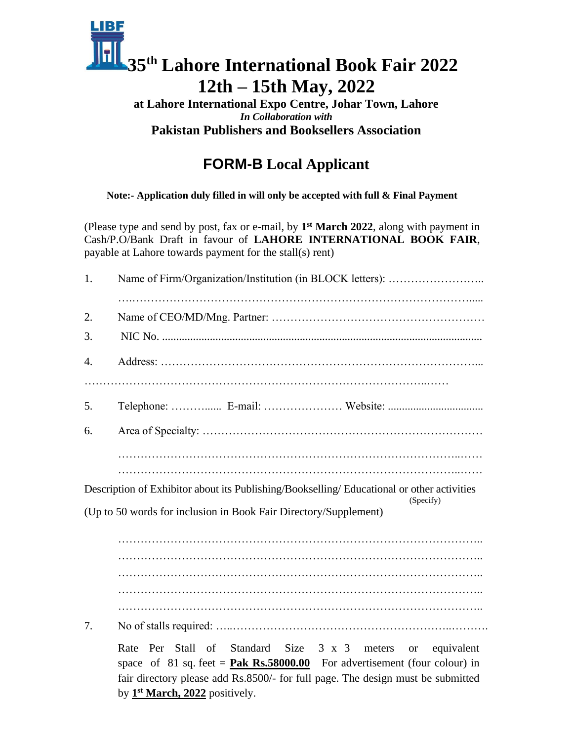# IBF **35th Lahore International Book Fair 2022 12th – 15th May, 2022**

#### **at Lahore International Expo Centre, Johar Town, Lahore** *In Collaboration with* **Pakistan Publishers and Booksellers Association**

## **FORM-B Local Applicant**

**Note:- Application duly filled in will only be accepted with full & Final Payment**

(Please type and send by post, fax or e-mail, by **1 st March 2022**, along with payment in Cash/P.O/Bank Draft in favour of **LAHORE INTERNATIONAL BOOK FAIR**, payable at Lahore towards payment for the stall(s) rent)

| 1.                                                                                                      |  |
|---------------------------------------------------------------------------------------------------------|--|
| 2.                                                                                                      |  |
| 3.                                                                                                      |  |
| 4.                                                                                                      |  |
|                                                                                                         |  |
| 5.                                                                                                      |  |
| 6.                                                                                                      |  |
|                                                                                                         |  |
| Description of Exhibitor about its Publishing/Bookselling/ Educational or other activities<br>(Specify) |  |
| (Up to 50 words for inclusion in Book Fair Directory/Supplement)                                        |  |
|                                                                                                         |  |

…………………………………………………………………………………….. …………………………………………………………………………………….. …………………………………………………………………………………….. ……………………………………………………………………………………..

7. No of stalls required: …..…………………………………………………..……….

Rate Per Stall of Standard Size 3 x 3 meters or equivalent space of 81 sq. feet =  $\textbf{Pak Rs.}58000.00$  For advertisement (four colour) in fair directory please add Rs.8500/- for full page. The design must be submitted by **1 st March, 2022** positively.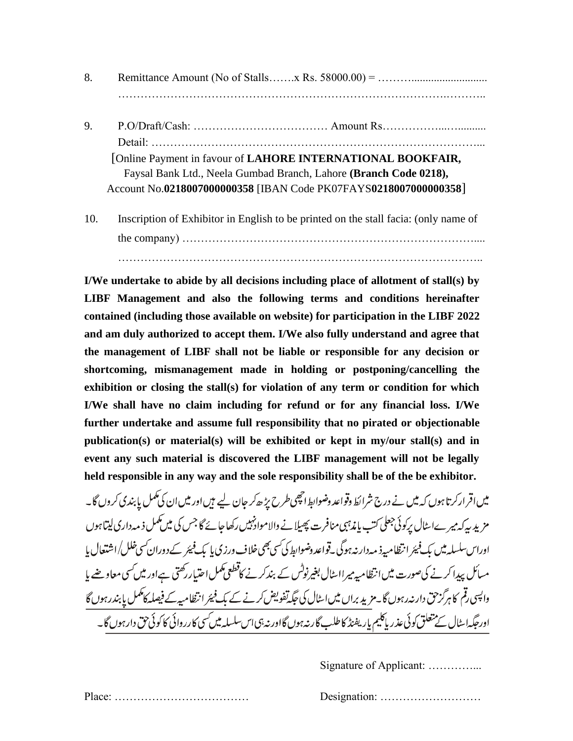- 8. Remittance Amount (No of Stalls…….x Rs. 58000.00) = ………........................... …………………………………………………………………………….………..
- 9. P.O/Draft/Cash: ……………………………… Amount Rs……………...….......... Detail: ……………………………………………………………………………... [Online Payment in favour of **LAHORE INTERNATIONAL BOOKFAIR,** Faysal Bank Ltd., Neela Gumbad Branch, Lahore **(Branch Code 0218),** Account No.**0218007000000358** [IBAN Code PK07FAYS**0218007000000358**]
- 10. Inscription of Exhibitor in English to be printed on the stall facia: (only name of the company) …………………………………………………………………….... ……………………………………………………………………………………..

**I/We undertake to abide by all decisions including place of allotment of stall(s) by LIBF Management and also the following terms and conditions hereinafter contained (including those available on website) for participation in the LIBF 2022 and am duly authorized to accept them. I/We also fully understand and agree that the management of LIBF shall not be liable or responsible for any decision or shortcoming, mismanagement made in holding or postponing/cancelling the exhibition or closing the stall(s) for violation of any term or condition for which I/We shall have no claim including for refund or for any financial loss. I/We further undertake and assume full responsibility that no pirated or objectionable publication(s) or material(s) will be exhibited or kept in my/our stall(s) and in event any such material is discovered the LIBF management will not be legally held responsible in any way and the sole responsibility shall be of the be exhibitor.**

میں اقرارکرتا ہوں کہ میں نے درج شرائط وقواعد وضوابط انچھی طرح پڑ ھ کر جان لیے ہیں اور میں ان کی مکمل پا بندی کروں گا۔ مزید سرکہ میر ےاسٹال پرکوئی جعلی کتب پاندہبی منافرت پھیلا نے والاموادنہیں رکھاجائے گا جس کی میں کمکمل ذ مہ داری لیتاہوں اوراس سلسلہ میں بک فیئر انتظامیہ ذ مہ دارنہ ہوگی۔قواعد دضوابط کی سی بھی خلاف ورزی یا بک فیئر کے دوران سی خلل/اشتعال یا مسائل پیدا کرنے کی صورت میں انتظامیہ میرااسٹال بغیرنوٹس کے بندکر نے کاقطعی کممل احتیاررکھتی ہےاور میں *ک*سی معاوضے با واپسی رقم کا ہرگز حق دارنہ رہوں گا۔مزید براں میں اسٹال کی جگہ تفویض کرنے کے بک فیمَر انتظامیہ کے فیصلہ کاٹمل پابندرہوں گا اورحگیہ اسٹال کے متعلق کوئی عذر پاکلیم پار یفیڈ کا طلب گارنہ ہوں گااور نہ ہی اس سلسلہ میں کسی کارروائی کا کوئی حق دار ہوں گا۔

Signature of Applicant: …………...

Place: ……………………………… Designation: ………………………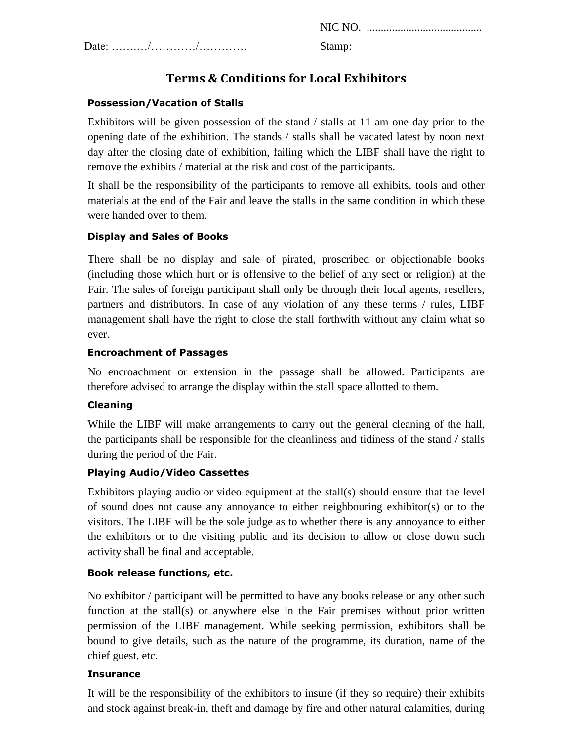NIC NO. .........................................

Date: …….…/…………/…………. Stamp:

### **Terms & Conditions for Local Exhibitors**

#### **Possession/Vacation of Stalls**

Exhibitors will be given possession of the stand / stalls at 11 am one day prior to the opening date of the exhibition. The stands / stalls shall be vacated latest by noon next day after the closing date of exhibition, failing which the LIBF shall have the right to remove the exhibits / material at the risk and cost of the participants.

It shall be the responsibility of the participants to remove all exhibits, tools and other materials at the end of the Fair and leave the stalls in the same condition in which these were handed over to them.

#### **Display and Sales of Books**

There shall be no display and sale of pirated, proscribed or objectionable books (including those which hurt or is offensive to the belief of any sect or religion) at the Fair. The sales of foreign participant shall only be through their local agents, resellers, partners and distributors. In case of any violation of any these terms / rules, LIBF management shall have the right to close the stall forthwith without any claim what so ever.

#### **Encroachment of Passages**

No encroachment or extension in the passage shall be allowed. Participants are therefore advised to arrange the display within the stall space allotted to them.

#### **Cleaning**

While the LIBF will make arrangements to carry out the general cleaning of the hall, the participants shall be responsible for the cleanliness and tidiness of the stand / stalls during the period of the Fair.

#### **Playing Audio/Video Cassettes**

Exhibitors playing audio or video equipment at the stall(s) should ensure that the level of sound does not cause any annoyance to either neighbouring exhibitor(s) or to the visitors. The LIBF will be the sole judge as to whether there is any annoyance to either the exhibitors or to the visiting public and its decision to allow or close down such activity shall be final and acceptable.

#### **Book release functions, etc.**

No exhibitor / participant will be permitted to have any books release or any other such function at the stall(s) or anywhere else in the Fair premises without prior written permission of the LIBF management. While seeking permission, exhibitors shall be bound to give details, such as the nature of the programme, its duration, name of the chief guest, etc.

#### **Insurance**

It will be the responsibility of the exhibitors to insure (if they so require) their exhibits and stock against break-in, theft and damage by fire and other natural calamities, during